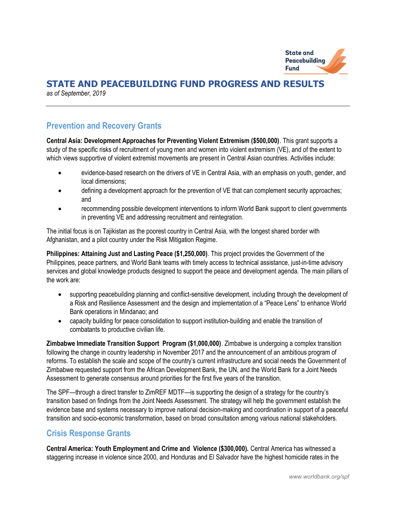

## STATE AND PEACEBUILDING FUND PROGRESS AND RESULTS

as of September, 2019

### Prevention and Recovery Grants

Central Asia: Development Approaches for Preventing Violent Extremism (\$500,000). This grant supports a study of the specific risks of recruitment of young men and women into violent extremism (VE), and of the extent to which views supportive of violent extremist movements are present in Central Asian countries. Activities include:

- evidence-based research on the drivers of VE in Central Asia, with an emphasis on youth, gender, and local dimensions;
- defining a development approach for the prevention of VE that can complement security approaches; and
- recommending possible development interventions to inform World Bank support to client governments in preventing VE and addressing recruitment and reintegration.

The initial focus is on Tajikistan as the poorest country in Central Asia, with the longest shared border with Afghanistan, and a pilot country under the Risk Mitigation Regime.

Philippines: Attaining Just and Lasting Peace (\$1,250,000). This project provides the Government of the Philippines, peace partners, and World Bank teams with timely access to technical assistance, just-in-time advisory services and global knowledge products designed to support the peace and development agenda. The main pillars of the work are:

- supporting peacebuilding planning and conflict-sensitive development, including through the development of a Risk and Resilience Assessment and the design and implementation of a "Peace Lens" to enhance World Bank operations in Mindanao; and
- capacity building for peace consolidation to support institution-building and enable the transition of combatants to productive civilian life.

Zimbabwe Immediate Transition Support Program (\$1,000,000). Zimbabwe is undergoing a complex transition following the change in country leadership in November 2017 and the announcement of an ambitious program of reforms. To establish the scale and scope of the country's current infrastructure and social needs the Government of Zimbabwe requested support from the African Development Bank, the UN, and the World Bank for a Joint Needs Assessment to generate consensus around priorities for the first five years of the transition.

The SPF—through a direct transfer to ZimREF MDTF—is supporting the design of a strategy for the country's transition based on findings from the Joint Needs Assessment. The strategy will help the government establish the evidence base and systems necessary to improve national decision-making and coordination in support of a peaceful transition and socio-economic transformation, based on broad consultation among various national stakeholders.

### Crisis Response Grants

Central America: Youth Employment and Crime and Violence (\$300,000). Central America has witnessed a staggering increase in violence since 2000, and Honduras and El Salvador have the highest homicide rates in the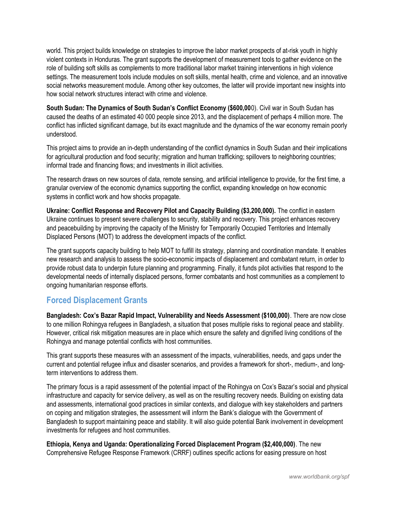world. This project builds knowledge on strategies to improve the labor market prospects of at-risk youth in highly violent contexts in Honduras. The grant supports the development of measurement tools to gather evidence on the role of building soft skills as complements to more traditional labor market training interventions in high violence settings. The measurement tools include modules on soft skills, mental health, crime and violence, and an innovative social networks measurement module. Among other key outcomes, the latter will provide important new insights into how social network structures interact with crime and violence.

South Sudan: The Dynamics of South Sudan's Conflict Economy (\$600,000). Civil war in South Sudan has caused the deaths of an estimated 40 000 people since 2013, and the displacement of perhaps 4 million more. The conflict has inflicted significant damage, but its exact magnitude and the dynamics of the war economy remain poorly understood.

This project aims to provide an in-depth understanding of the conflict dynamics in South Sudan and their implications for agricultural production and food security; migration and human trafficking; spillovers to neighboring countries; informal trade and financing flows; and investments in illicit activities.

The research draws on new sources of data, remote sensing, and artificial intelligence to provide, for the first time, a granular overview of the economic dynamics supporting the conflict, expanding knowledge on how economic systems in conflict work and how shocks propagate.

Ukraine: Conflict Response and Recovery Pilot and Capacity Building (\$3,200,000). The conflict in eastern Ukraine continues to present severe challenges to security, stability and recovery. This project enhances recovery and peacebuilding by improving the capacity of the Ministry for Temporarily Occupied Territories and Internally Displaced Persons (MOT) to address the development impacts of the conflict.

The grant supports capacity building to help MOT to fulfill its strategy, planning and coordination mandate. It enables new research and analysis to assess the socio-economic impacts of displacement and combatant return, in order to provide robust data to underpin future planning and programming. Finally, it funds pilot activities that respond to the developmental needs of internally displaced persons, former combatants and host communities as a complement to ongoing humanitarian response efforts.

### Forced Displacement Grants

Bangladesh: Cox's Bazar Rapid Impact, Vulnerability and Needs Assessment (\$100,000). There are now close to one million Rohingya refugees in Bangladesh, a situation that poses multiple risks to regional peace and stability. However, critical risk mitigation measures are in place which ensure the safety and dignified living conditions of the Rohingya and manage potential conflicts with host communities.

This grant supports these measures with an assessment of the impacts, vulnerabilities, needs, and gaps under the current and potential refugee influx and disaster scenarios, and provides a framework for short-, medium-, and longterm interventions to address them.

The primary focus is a rapid assessment of the potential impact of the Rohingya on Cox's Bazar's social and physical infrastructure and capacity for service delivery, as well as on the resulting recovery needs. Building on existing data and assessments, international good practices in similar contexts, and dialogue with key stakeholders and partners on coping and mitigation strategies, the assessment will inform the Bank's dialogue with the Government of Bangladesh to support maintaining peace and stability. It will also guide potential Bank involvement in development investments for refugees and host communities.

Ethiopia, Kenya and Uganda: Operationalizing Forced Displacement Program (\$2,400,000). The new Comprehensive Refugee Response Framework (CRRF) outlines specific actions for easing pressure on host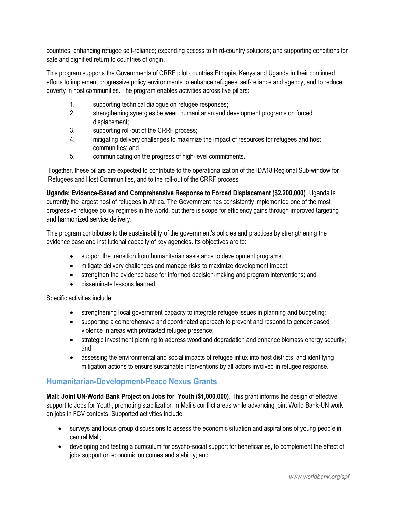countries; enhancing refugee self-reliance; expanding access to third-country solutions; and supporting conditions for safe and dignified return to countries of origin.

This program supports the Governments of CRRF pilot countries Ethiopia, Kenya and Uganda in their continued efforts to implement progressive policy environments to enhance refugees' self-reliance and agency, and to reduce poverty in host communities. The program enables activities across five pillars:

- 1. supporting technical dialogue on refugee responses;
- 2. strengthening synergies between humanitarian and development programs on forced displacement;
- 3. supporting roll-out of the CRRF process;
- 4. mitigating delivery challenges to maximize the impact of resources for refugees and host communities; and
- 5. communicating on the progress of high-level commitments.

Together, these pillars are expected to contribute to the operationalization of the IDA18 Regional Sub-window for Refugees and Host Communities, and to the roll-out of the CRRF process.

Uganda: Evidence-Based and Comprehensive Response to Forced Displacement (\$2,200,000). Uganda is currently the largest host of refugees in Africa. The Government has consistently implemented one of the most progressive refugee policy regimes in the world, but there is scope for efficiency gains through improved targeting and harmonized service delivery.

This program contributes to the sustainability of the government's policies and practices by strengthening the evidence base and institutional capacity of key agencies. Its objectives are to:

- support the transition from humanitarian assistance to development programs;
- mitigate delivery challenges and manage risks to maximize development impact;
- strengthen the evidence base for informed decision-making and program interventions; and
- **•** disseminate lessons learned.

Specific activities include:

- strengthening local government capacity to integrate refugee issues in planning and budgeting;
- supporting a comprehensive and coordinated approach to prevent and respond to gender-based violence in areas with protracted refugee presence;
- strategic investment planning to address woodland degradation and enhance biomass energy security; and
- assessing the environmental and social impacts of refugee influx into host districts, and identifying mitigation actions to ensure sustainable interventions by all actors involved in refugee response.

### Humanitarian-Development-Peace Nexus Grants

Mali: Joint UN-World Bank Project on Jobs for Youth (\$1,000,000). This grant informs the design of effective support to Jobs for Youth, promoting stabilization in Mali's conflict areas while advancing joint World Bank-UN work on jobs in FCV contexts. Supported activities include:

- surveys and focus group discussions to assess the economic situation and aspirations of young people in central Mali;
- developing and testing a curriculum for psycho-social support for beneficiaries, to complement the effect of jobs support on economic outcomes and stability; and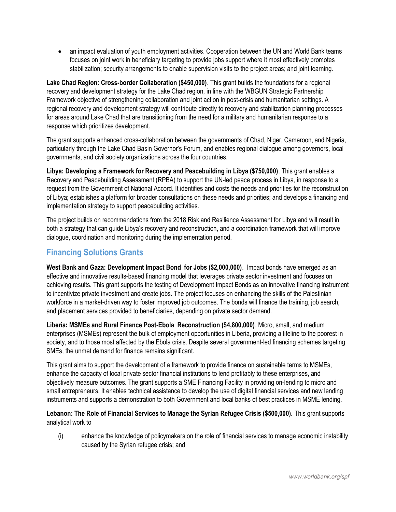• an impact evaluation of youth employment activities. Cooperation between the UN and World Bank teams focuses on joint work in beneficiary targeting to provide jobs support where it most effectively promotes stabilization; security arrangements to enable supervision visits to the project areas; and joint learning.

Lake Chad Region: Cross-border Collaboration (\$450,000). This grant builds the foundations for a regional recovery and development strategy for the Lake Chad region, in line with the WBGUN Strategic Partnership Framework objective of strengthening collaboration and joint action in post-crisis and humanitarian settings. A regional recovery and development strategy will contribute directly to recovery and stabilization planning processes for areas around Lake Chad that are transitioning from the need for a military and humanitarian response to a response which prioritizes development.

The grant supports enhanced cross-collaboration between the governments of Chad, Niger, Cameroon, and Nigeria, particularly through the Lake Chad Basin Governor's Forum, and enables regional dialogue among governors, local governments, and civil society organizations across the four countries.

Libya: Developing a Framework for Recovery and Peacebuilding in Libya (\$750,000). This grant enables a Recovery and Peacebuilding Assessment (RPBA) to support the UN-led peace process in Libya, in response to a request from the Government of National Accord. It identifies and costs the needs and priorities for the reconstruction of Libya; establishes a platform for broader consultations on these needs and priorities; and develops a financing and implementation strategy to support peacebuilding activities.

The project builds on recommendations from the 2018 Risk and Resilience Assessment for Libya and will result in both a strategy that can guide Libya's recovery and reconstruction, and a coordination framework that will improve dialogue, coordination and monitoring during the implementation period.

# Financing Solutions Grants

West Bank and Gaza: Development Impact Bond for Jobs (\$2,000,000). Impact bonds have emerged as an effective and innovative results-based financing model that leverages private sector investment and focuses on achieving results. This grant supports the testing of Development Impact Bonds as an innovative financing instrument to incentivize private investment and create jobs. The project focuses on enhancing the skills of the Palestinian workforce in a market-driven way to foster improved job outcomes. The bonds will finance the training, job search, and placement services provided to beneficiaries, depending on private sector demand.

Liberia: MSMEs and Rural Finance Post-Ebola Reconstruction (\$4,800,000). Micro, small, and medium enterprises (MSMEs) represent the bulk of employment opportunities in Liberia, providing a lifeline to the poorest in society, and to those most affected by the Ebola crisis. Despite several government-led financing schemes targeting SMEs, the unmet demand for finance remains significant.

This grant aims to support the development of a framework to provide finance on sustainable terms to MSMEs, enhance the capacity of local private sector financial institutions to lend profitably to these enterprises, and objectively measure outcomes. The grant supports a SME Financing Facility in providing on-lending to micro and small entrepreneurs. It enables technical assistance to develop the use of digital financial services and new lending instruments and supports a demonstration to both Government and local banks of best practices in MSME lending.

#### Lebanon: The Role of Financial Services to Manage the Syrian Refugee Crisis (\$500,000). This grant supports analytical work to

(i) enhance the knowledge of policymakers on the role of financial services to manage economic instability caused by the Syrian refugee crisis; and